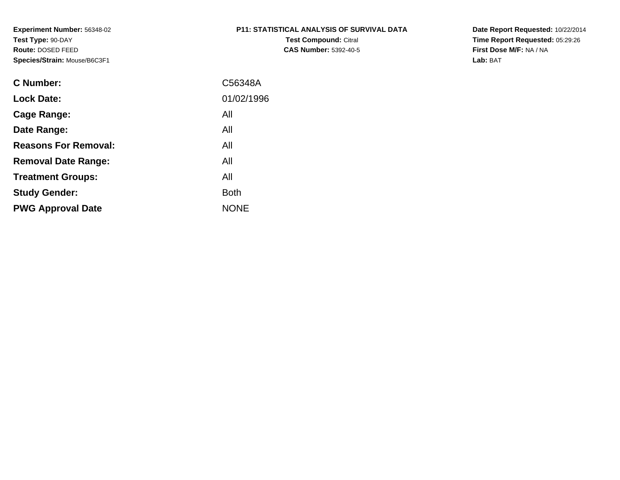| <b>P11: STATISTICAL ANALYSIS OF SURVIVAL DATA</b> |  |  |
|---------------------------------------------------|--|--|
|                                                   |  |  |

**Test Compound:** Citral **CAS Number:** 5392-40-5 **Date Report Requested:** 10/22/2014 **Time Report Requested:** 05:29:26**First Dose M/F:** NA / NA**Lab:** BAT

| <b>C</b> Number:            | C56348A     |
|-----------------------------|-------------|
| <b>Lock Date:</b>           | 01/02/1996  |
| Cage Range:                 | All         |
| Date Range:                 | All         |
| <b>Reasons For Removal:</b> | All         |
| <b>Removal Date Range:</b>  | All         |
| <b>Treatment Groups:</b>    | All         |
| <b>Study Gender:</b>        | <b>Both</b> |
| <b>PWG Approval Date</b>    | <b>NONE</b> |
|                             |             |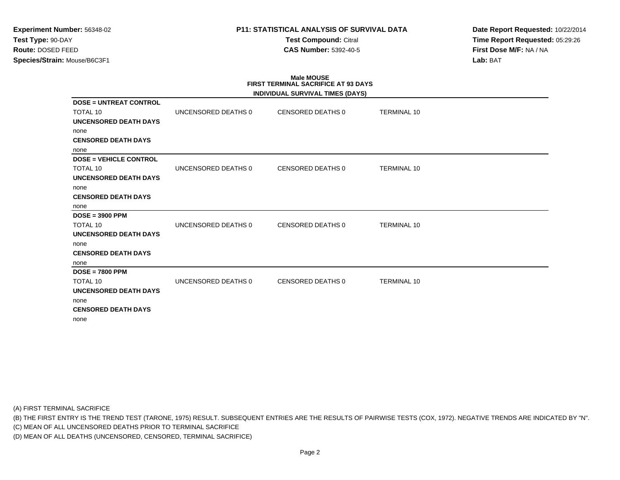## **P11: STATISTICAL ANALYSIS OF SURVIVAL DATA**

**Test Compound:** Citral **CAS Number:** 5392-40-5

**Date Report Requested:** 10/22/2014**Time Report Requested:** 05:29:26**First Dose M/F:** NA / NA**Lab:** BAT

## **Male MOUSE FIRST TERMINAL SACRIFICE AT 93 DAYSINDIVIDUAL SURVIVAL TIMES (DAYS)DOSE = UNTREAT CONTROL**TOTAL 10 UNCENSORED DEATHS 0 CENSORED DEATHS 0 TERMINAL 10 **UNCENSORED DEATH DAYS**none **CENSORED DEATH DAYS**none **DOSE = VEHICLE CONTROL**TOTAL 10 UNCENSORED DEATHS 0 CENSORED DEATHS 0 TERMINAL 10 **UNCENSORED DEATH DAYS**none **CENSORED DEATH DAYS**none **DOSE = 3900 PPM**TOTAL 10 UNCENSORED DEATHS 0 CENSORED DEATHS 0 TERMINAL 10 **UNCENSORED DEATH DAYS**none **CENSORED DEATH DAYS**none **DOSE = 7800 PPM**TOTAL 10 UNCENSORED DEATHS 0 CENSORED DEATHS 0 TERMINAL 10 **UNCENSORED DEATH DAYS**none **CENSORED DEATH DAYS**none

(A) FIRST TERMINAL SACRIFICE

(B) THE FIRST ENTRY IS THE TREND TEST (TARONE, 1975) RESULT. SUBSEQUENT ENTRIES ARE THE RESULTS OF PAIRWISE TESTS (COX, 1972). NEGATIVE TRENDS ARE INDICATED BY "N".

(C) MEAN OF ALL UNCENSORED DEATHS PRIOR TO TERMINAL SACRIFICE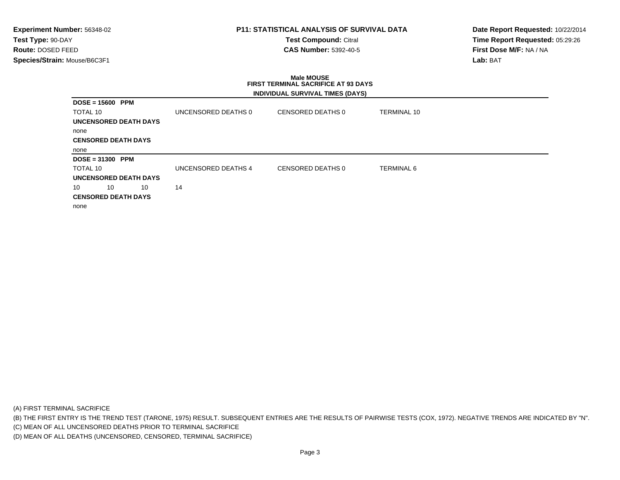## **P11: STATISTICAL ANALYSIS OF SURVIVAL DATA**

**Test Compound:** Citral **CAS Number:** 5392-40-5

**Date Report Requested:** 10/22/2014**Time Report Requested:** 05:29:26**First Dose M/F:** NA / NA**Lab:** BAT

## **Male MOUSE FIRST TERMINAL SACRIFICE AT 93 DAYSINDIVIDUAL SURVIVAL TIMES (DAYS)**

| $DOSE = 15600$ PPM         |    |                     |                   |             |
|----------------------------|----|---------------------|-------------------|-------------|
| TOTAL 10                   |    | UNCENSORED DEATHS 0 | CENSORED DEATHS 0 | TERMINAL 10 |
| UNCENSORED DEATH DAYS      |    |                     |                   |             |
| none                       |    |                     |                   |             |
| <b>CENSORED DEATH DAYS</b> |    |                     |                   |             |
| none                       |    |                     |                   |             |
| $DOSE = 31300$ PPM         |    |                     |                   |             |
| TOTAL 10                   |    | UNCENSORED DEATHS 4 | CENSORED DEATHS 0 | TERMINAL 6  |
| UNCENSORED DEATH DAYS      |    |                     |                   |             |
| 10<br>10                   | 10 | 14                  |                   |             |
| <b>CENSORED DEATH DAYS</b> |    |                     |                   |             |
|                            |    |                     |                   |             |

(A) FIRST TERMINAL SACRIFICE

(B) THE FIRST ENTRY IS THE TREND TEST (TARONE, 1975) RESULT. SUBSEQUENT ENTRIES ARE THE RESULTS OF PAIRWISE TESTS (COX, 1972). NEGATIVE TRENDS ARE INDICATED BY "N".

(C) MEAN OF ALL UNCENSORED DEATHS PRIOR TO TERMINAL SACRIFICE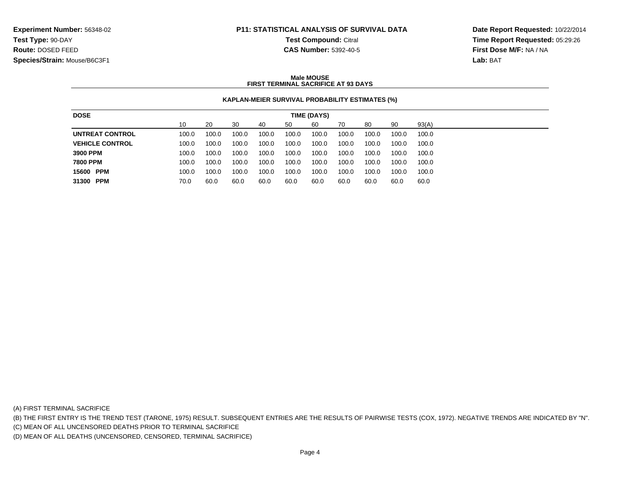# **P11: STATISTICAL ANALYSIS OF SURVIVAL DATA**

**Test Compound:** Citral

**Date Report Requested:** 10/22/2014**Time Report Requested:** 05:29:26**First Dose M/F:** NA / NA**Lab:** BAT

## **CAS Number:** 5392-40-5

#### **Male MOUSEFIRST TERMINAL SACRIFICE AT 93 DAYS**

## **KAPLAN-MEIER SURVIVAL PROBABILITY ESTIMATES (%)**

| <b>DOSE</b>            |       |       |       |       |       | TIME (DAYS) |       |       |       |       |
|------------------------|-------|-------|-------|-------|-------|-------------|-------|-------|-------|-------|
|                        | 10    | 20    | 30    | 40    | 50    | 60          | 70    | 80    | 90    | 93(A) |
| <b>UNTREAT CONTROL</b> | 100.0 | 100.0 | 100.0 | 100.0 | 100.0 | 100.0       | 100.0 | 100.0 | 100.0 | 100.0 |
| <b>VEHICLE CONTROL</b> | 100.0 | 100.0 | 100.0 | 100.0 | 100.0 | 100.0       | 100.0 | 100.0 | 100.0 | 100.0 |
| 3900 PPM               | 100.0 | 100.0 | 100.0 | 100.0 | 100.0 | 100.0       | 100.0 | 100.0 | 100.0 | 100.0 |
| <b>7800 PPM</b>        | 100.0 | 100.0 | 100.0 | 100.0 | 100.0 | 100.0       | 100.0 | 100.0 | 100.0 | 100.0 |
| 15600 PPM              | 100.0 | 100.0 | 100.0 | 100.0 | 100.0 | 100.0       | 100.0 | 100.0 | 100.0 | 100.0 |
| 31300 PPM              | 70.0  | 60.0  | 60.0  | 60.0  | 60.0  | 60.0        | 60.0  | 60.0  | 60.0  | 60.0  |

(A) FIRST TERMINAL SACRIFICE

(B) THE FIRST ENTRY IS THE TREND TEST (TARONE, 1975) RESULT. SUBSEQUENT ENTRIES ARE THE RESULTS OF PAIRWISE TESTS (COX, 1972). NEGATIVE TRENDS ARE INDICATED BY "N".

(C) MEAN OF ALL UNCENSORED DEATHS PRIOR TO TERMINAL SACRIFICE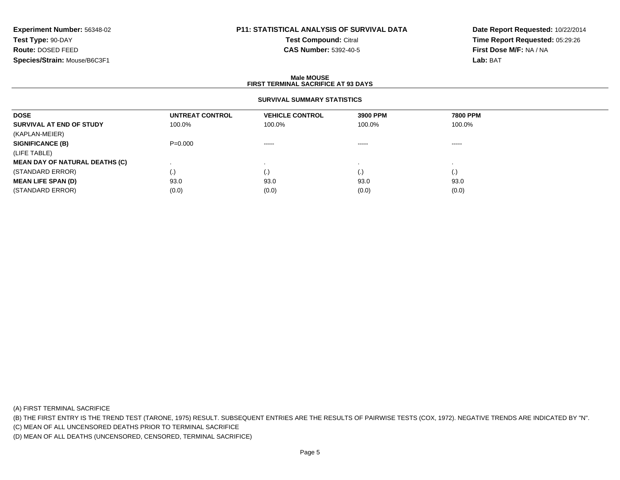# **P11: STATISTICAL ANALYSIS OF SURVIVAL DATA**

**Test Compound:** Citral

**CAS Number:** 5392-40-5

**Date Report Requested:** 10/22/2014**Time Report Requested:** 05:29:26**First Dose M/F:** NA / NA**Lab:** BAT

#### **Male MOUSEFIRST TERMINAL SACRIFICE AT 93 DAYS**

## **SURVIVAL SUMMARY STATISTICS**

| <b>DOSE</b>                           | UNTREAT CONTROL | <b>VEHICLE CONTROL</b> | 3900 PPM | <b>7800 PPM</b> |  |
|---------------------------------------|-----------------|------------------------|----------|-----------------|--|
| SURVIVAL AT END OF STUDY              | 100.0%          | 100.0%                 | 100.0%   | 100.0%          |  |
| (KAPLAN-MEIER)                        |                 |                        |          |                 |  |
| <b>SIGNIFICANCE (B)</b>               | $P = 0.000$     | $\cdots$               | ------   | $\cdots$        |  |
| (LIFE TABLE)                          |                 |                        |          |                 |  |
| <b>MEAN DAY OF NATURAL DEATHS (C)</b> |                 |                        |          |                 |  |
| (STANDARD ERROR)                      | $\cdot$         | $\cdot$ )              | (.)      | (.)             |  |
| <b>MEAN LIFE SPAN (D)</b>             | 93.0            | 93.0                   | 93.0     | 93.0            |  |
| (STANDARD ERROR)                      | (0.0)           | (0.0)                  | (0.0)    | (0.0)           |  |
|                                       |                 |                        |          |                 |  |

(A) FIRST TERMINAL SACRIFICE

(B) THE FIRST ENTRY IS THE TREND TEST (TARONE, 1975) RESULT. SUBSEQUENT ENTRIES ARE THE RESULTS OF PAIRWISE TESTS (COX, 1972). NEGATIVE TRENDS ARE INDICATED BY "N".

(C) MEAN OF ALL UNCENSORED DEATHS PRIOR TO TERMINAL SACRIFICE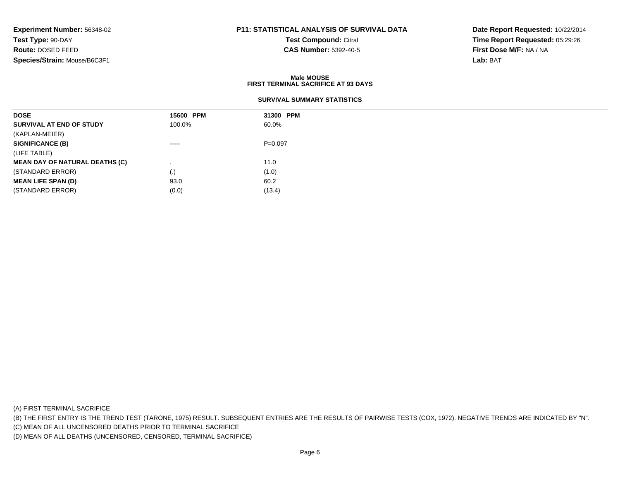# **P11: STATISTICAL ANALYSIS OF SURVIVAL DATA**

**Test Compound:** Citral

**CAS Number:** 5392-40-5

**Date Report Requested:** 10/22/2014**Time Report Requested:** 05:29:26**First Dose M/F:** NA / NA**Lab:** BAT

#### **Male MOUSEFIRST TERMINAL SACRIFICE AT 93 DAYS**

| <b>DOSE</b>                           | 15600 PPM                                                                                                                                                                                                                                                                                                                                                                                                                                                                              | 31300 PPM |  |
|---------------------------------------|----------------------------------------------------------------------------------------------------------------------------------------------------------------------------------------------------------------------------------------------------------------------------------------------------------------------------------------------------------------------------------------------------------------------------------------------------------------------------------------|-----------|--|
| SURVIVAL AT END OF STUDY              | 100.0%                                                                                                                                                                                                                                                                                                                                                                                                                                                                                 | 60.0%     |  |
| (KAPLAN-MEIER)                        |                                                                                                                                                                                                                                                                                                                                                                                                                                                                                        |           |  |
| <b>SIGNIFICANCE (B)</b>               | $\begin{array}{cccccccccccccc} \multicolumn{2}{c}{} & \multicolumn{2}{c}{} & \multicolumn{2}{c}{} & \multicolumn{2}{c}{} & \multicolumn{2}{c}{} & \multicolumn{2}{c}{} & \multicolumn{2}{c}{} & \multicolumn{2}{c}{} & \multicolumn{2}{c}{} & \multicolumn{2}{c}{} & \multicolumn{2}{c}{} & \multicolumn{2}{c}{} & \multicolumn{2}{c}{} & \multicolumn{2}{c}{} & \multicolumn{2}{c}{} & \multicolumn{2}{c}{} & \multicolumn{2}{c}{} & \multicolumn{2}{c}{} & \multicolumn{2}{c}{} & \$ | $P=0.097$ |  |
| (LIFE TABLE)                          |                                                                                                                                                                                                                                                                                                                                                                                                                                                                                        |           |  |
| <b>MEAN DAY OF NATURAL DEATHS (C)</b> |                                                                                                                                                                                                                                                                                                                                                                                                                                                                                        | 11.0      |  |
| (STANDARD ERROR)                      | (.)                                                                                                                                                                                                                                                                                                                                                                                                                                                                                    | (1.0)     |  |
| <b>MEAN LIFE SPAN (D)</b>             | 93.0                                                                                                                                                                                                                                                                                                                                                                                                                                                                                   | 60.2      |  |
| (STANDARD ERROR)                      | (0.0)                                                                                                                                                                                                                                                                                                                                                                                                                                                                                  | (13.4)    |  |

(A) FIRST TERMINAL SACRIFICE

(B) THE FIRST ENTRY IS THE TREND TEST (TARONE, 1975) RESULT. SUBSEQUENT ENTRIES ARE THE RESULTS OF PAIRWISE TESTS (COX, 1972). NEGATIVE TRENDS ARE INDICATED BY "N".

(C) MEAN OF ALL UNCENSORED DEATHS PRIOR TO TERMINAL SACRIFICE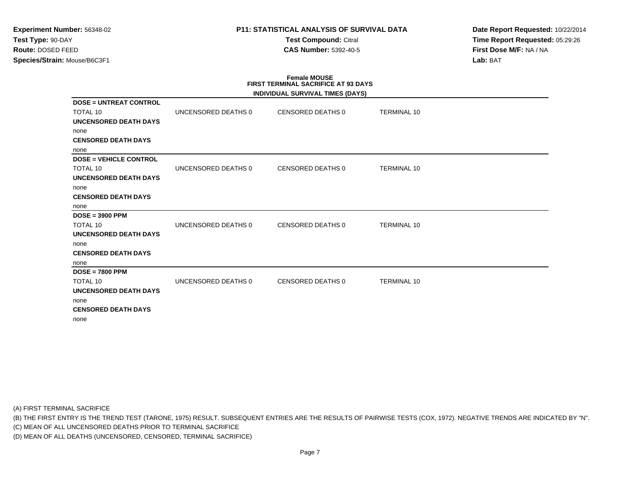# **P11: STATISTICAL ANALYSIS OF SURVIVAL DATA**

**Test Compound:** Citral **CAS Number:** 5392-40-5

**Date Report Requested:** 10/22/2014**Time Report Requested:** 05:29:26**First Dose M/F:** NA / NA**Lab:** BAT

## **Female MOUSE FIRST TERMINAL SACRIFICE AT 93 DAYSINDIVIDUAL SURVIVAL TIMES (DAYS)DOSE = UNTREAT CONTROL**TOTAL 10 UNCENSORED DEATHS 0 CENSORED DEATHS 0 TERMINAL 10 **UNCENSORED DEATH DAYS**none **CENSORED DEATH DAYS**none **DOSE = VEHICLE CONTROL**TOTAL 10 UNCENSORED DEATHS 0 CENSORED DEATHS 0 TERMINAL 10 **UNCENSORED DEATH DAYS**none **CENSORED DEATH DAYS**none **DOSE = 3900 PPM**TOTAL 10 UNCENSORED DEATHS 0 CENSORED DEATHS 0 TERMINAL 10 **UNCENSORED DEATH DAYS**none **CENSORED DEATH DAYS**none **DOSE = 7800 PPM**TOTAL 10 UNCENSORED DEATHS 0 CENSORED DEATHS 0 TERMINAL 10 **UNCENSORED DEATH DAYS**none **CENSORED DEATH DAYS**none

(A) FIRST TERMINAL SACRIFICE

(B) THE FIRST ENTRY IS THE TREND TEST (TARONE, 1975) RESULT. SUBSEQUENT ENTRIES ARE THE RESULTS OF PAIRWISE TESTS (COX, 1972). NEGATIVE TRENDS ARE INDICATED BY "N".

(C) MEAN OF ALL UNCENSORED DEATHS PRIOR TO TERMINAL SACRIFICE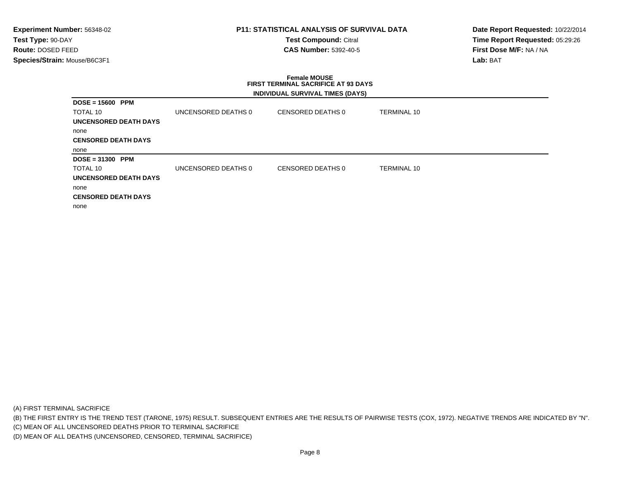# **P11: STATISTICAL ANALYSIS OF SURVIVAL DATA**

**Test Compound:** Citral **CAS Number:** 5392-40-5

**Date Report Requested:** 10/22/2014**Time Report Requested:** 05:29:26**First Dose M/F:** NA / NA**Lab:** BAT

### **Female MOUSE FIRST TERMINAL SACRIFICE AT 93 DAYSINDIVIDUAL SURVIVAL TIMES (DAYS)**

| $DOSE = 15600$ PPM         |                     |                   |                    |
|----------------------------|---------------------|-------------------|--------------------|
| TOTAL 10                   | UNCENSORED DEATHS 0 | CENSORED DEATHS 0 | <b>TERMINAL 10</b> |
| UNCENSORED DEATH DAYS      |                     |                   |                    |
| none                       |                     |                   |                    |
| <b>CENSORED DEATH DAYS</b> |                     |                   |                    |
| none                       |                     |                   |                    |
| $DOSE = 31300$ PPM         |                     |                   |                    |
| TOTAL 10                   | UNCENSORED DEATHS 0 | CENSORED DEATHS 0 | <b>TERMINAL 10</b> |
| UNCENSORED DEATH DAYS      |                     |                   |                    |
| none                       |                     |                   |                    |
| <b>CENSORED DEATH DAYS</b> |                     |                   |                    |
| none                       |                     |                   |                    |

(A) FIRST TERMINAL SACRIFICE

(B) THE FIRST ENTRY IS THE TREND TEST (TARONE, 1975) RESULT. SUBSEQUENT ENTRIES ARE THE RESULTS OF PAIRWISE TESTS (COX, 1972). NEGATIVE TRENDS ARE INDICATED BY "N".

(C) MEAN OF ALL UNCENSORED DEATHS PRIOR TO TERMINAL SACRIFICE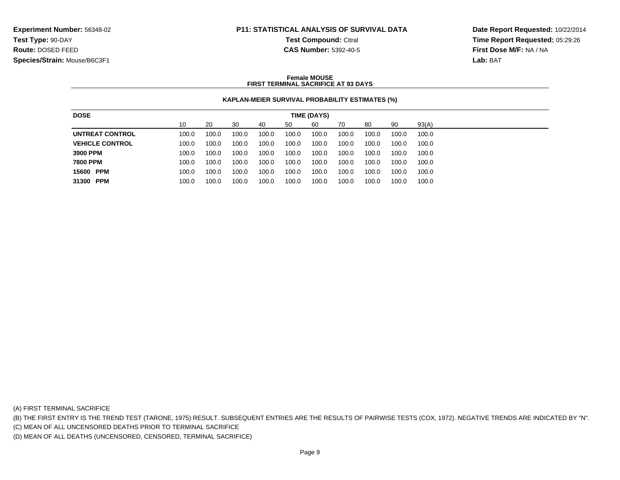# **P11: STATISTICAL ANALYSIS OF SURVIVAL DATATest Compound:** Citral

**CAS Number:** 5392-40-5

**Date Report Requested:** 10/22/2014**Time Report Requested:** 05:29:26**First Dose M/F:** NA / NA**Lab:** BAT

#### **Female MOUSEFIRST TERMINAL SACRIFICE AT 93 DAYS**

## **KAPLAN-MEIER SURVIVAL PROBABILITY ESTIMATES (%)**

| <b>DOSE</b>            |       |       |       |       |       | TIME (DAYS) |       |       |       |       |
|------------------------|-------|-------|-------|-------|-------|-------------|-------|-------|-------|-------|
|                        | 10    | 20    | 30    | 40    | 50    | 60          | 70    | -80   | 90    | 93(A) |
| UNTREAT CONTROL        | 100.0 | 100.0 | 100.0 | 100.0 | 100.0 | 100.0       | 100.0 | 100.0 | 100.0 | 100.0 |
| <b>VEHICLE CONTROL</b> | 100.0 | 100.0 | 100.0 | 100.0 | 100.0 | 100.0       | 100.0 | 100.0 | 100.0 | 100.0 |
| 3900 PPM               | 100.0 | 100.0 | 100.0 | 100.0 | 100.0 | 100.0       | 100.0 | 100.0 | 100.0 | 100.0 |
| <b>7800 PPM</b>        | 100.0 | 100.0 | 100.0 | 100.0 | 100.0 | 100.0       | 100.0 | 100.0 | 100.0 | 100.0 |
| 15600 PPM              | 100.0 | 100.0 | 100.0 | 100.0 | 100.0 | 100.0       | 100.0 | 100.0 | 100.0 | 100.0 |
| 31300 PPM              | 100.0 | 100.0 | 100.0 | 100.0 | 100.0 | 100.0       | 100.0 | 100.0 | 100.0 | 100.0 |
|                        |       |       |       |       |       |             |       |       |       |       |

(A) FIRST TERMINAL SACRIFICE

(B) THE FIRST ENTRY IS THE TREND TEST (TARONE, 1975) RESULT. SUBSEQUENT ENTRIES ARE THE RESULTS OF PAIRWISE TESTS (COX, 1972). NEGATIVE TRENDS ARE INDICATED BY "N".

(C) MEAN OF ALL UNCENSORED DEATHS PRIOR TO TERMINAL SACRIFICE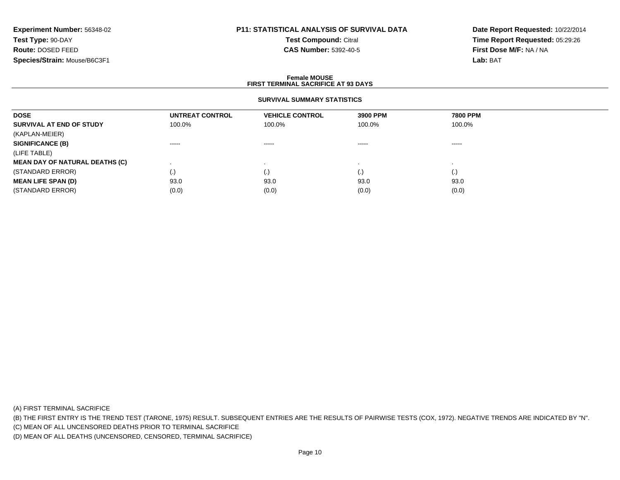# **P11: STATISTICAL ANALYSIS OF SURVIVAL DATA**

**Test Compound:** Citral **CAS Number:** 5392-40-5

**Date Report Requested:** 10/22/2014**Time Report Requested:** 05:29:26**First Dose M/F:** NA / NA**Lab:** BAT

#### **Female MOUSEFIRST TERMINAL SACRIFICE AT 93 DAYS**

#### **SURVIVAL SUMMARY STATISTICS**

| <b>DOSE</b>                           | UNTREAT CONTROL                                                                                                                                                                                                                                                                                                                                                                                                                                                                        | <b>VEHICLE CONTROL</b> | 3900 PPM                                                                                                                                                                                                                                                                                                                                                                                                                                                                               | 7800 PPM                                                                                                                                                                                                                                                                                                                                                                                                                                                                               |  |
|---------------------------------------|----------------------------------------------------------------------------------------------------------------------------------------------------------------------------------------------------------------------------------------------------------------------------------------------------------------------------------------------------------------------------------------------------------------------------------------------------------------------------------------|------------------------|----------------------------------------------------------------------------------------------------------------------------------------------------------------------------------------------------------------------------------------------------------------------------------------------------------------------------------------------------------------------------------------------------------------------------------------------------------------------------------------|----------------------------------------------------------------------------------------------------------------------------------------------------------------------------------------------------------------------------------------------------------------------------------------------------------------------------------------------------------------------------------------------------------------------------------------------------------------------------------------|--|
| SURVIVAL AT END OF STUDY              | 100.0%                                                                                                                                                                                                                                                                                                                                                                                                                                                                                 | 100.0%                 | 100.0%                                                                                                                                                                                                                                                                                                                                                                                                                                                                                 | 100.0%                                                                                                                                                                                                                                                                                                                                                                                                                                                                                 |  |
| (KAPLAN-MEIER)                        |                                                                                                                                                                                                                                                                                                                                                                                                                                                                                        |                        |                                                                                                                                                                                                                                                                                                                                                                                                                                                                                        |                                                                                                                                                                                                                                                                                                                                                                                                                                                                                        |  |
| <b>SIGNIFICANCE (B)</b>               | $\begin{array}{cccccccccccccc} \multicolumn{2}{c}{} & \multicolumn{2}{c}{} & \multicolumn{2}{c}{} & \multicolumn{2}{c}{} & \multicolumn{2}{c}{} & \multicolumn{2}{c}{} & \multicolumn{2}{c}{} & \multicolumn{2}{c}{} & \multicolumn{2}{c}{} & \multicolumn{2}{c}{} & \multicolumn{2}{c}{} & \multicolumn{2}{c}{} & \multicolumn{2}{c}{} & \multicolumn{2}{c}{} & \multicolumn{2}{c}{} & \multicolumn{2}{c}{} & \multicolumn{2}{c}{} & \multicolumn{2}{c}{} & \multicolumn{2}{c}{} & \$ | $\cdots$               | $\begin{array}{cccccccccccccc} \multicolumn{2}{c}{} & \multicolumn{2}{c}{} & \multicolumn{2}{c}{} & \multicolumn{2}{c}{} & \multicolumn{2}{c}{} & \multicolumn{2}{c}{} & \multicolumn{2}{c}{} & \multicolumn{2}{c}{} & \multicolumn{2}{c}{} & \multicolumn{2}{c}{} & \multicolumn{2}{c}{} & \multicolumn{2}{c}{} & \multicolumn{2}{c}{} & \multicolumn{2}{c}{} & \multicolumn{2}{c}{} & \multicolumn{2}{c}{} & \multicolumn{2}{c}{} & \multicolumn{2}{c}{} & \multicolumn{2}{c}{} & \$ | $\begin{array}{cccccccccccccc} \multicolumn{2}{c}{} & \multicolumn{2}{c}{} & \multicolumn{2}{c}{} & \multicolumn{2}{c}{} & \multicolumn{2}{c}{} & \multicolumn{2}{c}{} & \multicolumn{2}{c}{} & \multicolumn{2}{c}{} & \multicolumn{2}{c}{} & \multicolumn{2}{c}{} & \multicolumn{2}{c}{} & \multicolumn{2}{c}{} & \multicolumn{2}{c}{} & \multicolumn{2}{c}{} & \multicolumn{2}{c}{} & \multicolumn{2}{c}{} & \multicolumn{2}{c}{} & \multicolumn{2}{c}{} & \multicolumn{2}{c}{} & \$ |  |
| (LIFE TABLE)                          |                                                                                                                                                                                                                                                                                                                                                                                                                                                                                        |                        |                                                                                                                                                                                                                                                                                                                                                                                                                                                                                        |                                                                                                                                                                                                                                                                                                                                                                                                                                                                                        |  |
| <b>MEAN DAY OF NATURAL DEATHS (C)</b> |                                                                                                                                                                                                                                                                                                                                                                                                                                                                                        |                        |                                                                                                                                                                                                                                                                                                                                                                                                                                                                                        |                                                                                                                                                                                                                                                                                                                                                                                                                                                                                        |  |
| (STANDARD ERROR)                      | $\cdot$                                                                                                                                                                                                                                                                                                                                                                                                                                                                                |                        | (.)                                                                                                                                                                                                                                                                                                                                                                                                                                                                                    | $\left( . \right)$                                                                                                                                                                                                                                                                                                                                                                                                                                                                     |  |
| <b>MEAN LIFE SPAN (D)</b>             | 93.0                                                                                                                                                                                                                                                                                                                                                                                                                                                                                   | 93.0                   | 93.0                                                                                                                                                                                                                                                                                                                                                                                                                                                                                   | 93.0                                                                                                                                                                                                                                                                                                                                                                                                                                                                                   |  |
| (STANDARD ERROR)                      | (0.0)                                                                                                                                                                                                                                                                                                                                                                                                                                                                                  | (0.0)                  | (0.0)                                                                                                                                                                                                                                                                                                                                                                                                                                                                                  | (0.0)                                                                                                                                                                                                                                                                                                                                                                                                                                                                                  |  |
|                                       |                                                                                                                                                                                                                                                                                                                                                                                                                                                                                        |                        |                                                                                                                                                                                                                                                                                                                                                                                                                                                                                        |                                                                                                                                                                                                                                                                                                                                                                                                                                                                                        |  |

(A) FIRST TERMINAL SACRIFICE

(B) THE FIRST ENTRY IS THE TREND TEST (TARONE, 1975) RESULT. SUBSEQUENT ENTRIES ARE THE RESULTS OF PAIRWISE TESTS (COX, 1972). NEGATIVE TRENDS ARE INDICATED BY "N".

(C) MEAN OF ALL UNCENSORED DEATHS PRIOR TO TERMINAL SACRIFICE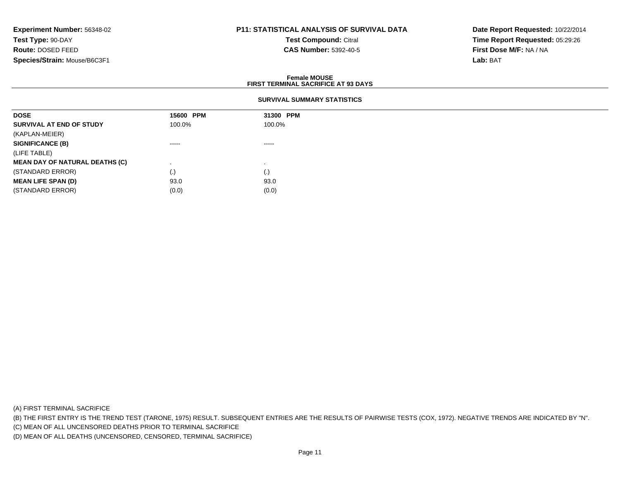# **P11: STATISTICAL ANALYSIS OF SURVIVAL DATA**

**Test Compound:** Citral **CAS Number:** 5392-40-5

**Date Report Requested:** 10/22/2014**Time Report Requested:** 05:29:26**First Dose M/F:** NA / NA**Lab:** BAT

#### **Female MOUSEFIRST TERMINAL SACRIFICE AT 93 DAYS**

### **SURVIVAL SUMMARY STATISTICS**

| <b>DOSE</b>                           | 15600 PPM                                                                                                                                                                                                                                                                                                                                                                                                                                                                              | 31300 PPM                                                                                                                                                                                                                                                                                                                                                                                                                                                                              |
|---------------------------------------|----------------------------------------------------------------------------------------------------------------------------------------------------------------------------------------------------------------------------------------------------------------------------------------------------------------------------------------------------------------------------------------------------------------------------------------------------------------------------------------|----------------------------------------------------------------------------------------------------------------------------------------------------------------------------------------------------------------------------------------------------------------------------------------------------------------------------------------------------------------------------------------------------------------------------------------------------------------------------------------|
| SURVIVAL AT END OF STUDY              | 100.0%                                                                                                                                                                                                                                                                                                                                                                                                                                                                                 | 100.0%                                                                                                                                                                                                                                                                                                                                                                                                                                                                                 |
| (KAPLAN-MEIER)                        |                                                                                                                                                                                                                                                                                                                                                                                                                                                                                        |                                                                                                                                                                                                                                                                                                                                                                                                                                                                                        |
| <b>SIGNIFICANCE (B)</b>               | $\begin{array}{cccccccccccccc} \multicolumn{2}{c}{} & \multicolumn{2}{c}{} & \multicolumn{2}{c}{} & \multicolumn{2}{c}{} & \multicolumn{2}{c}{} & \multicolumn{2}{c}{} & \multicolumn{2}{c}{} & \multicolumn{2}{c}{} & \multicolumn{2}{c}{} & \multicolumn{2}{c}{} & \multicolumn{2}{c}{} & \multicolumn{2}{c}{} & \multicolumn{2}{c}{} & \multicolumn{2}{c}{} & \multicolumn{2}{c}{} & \multicolumn{2}{c}{} & \multicolumn{2}{c}{} & \multicolumn{2}{c}{} & \multicolumn{2}{c}{} & \$ | $\begin{array}{cccccccccccccc} \multicolumn{2}{c}{} & \multicolumn{2}{c}{} & \multicolumn{2}{c}{} & \multicolumn{2}{c}{} & \multicolumn{2}{c}{} & \multicolumn{2}{c}{} & \multicolumn{2}{c}{} & \multicolumn{2}{c}{} & \multicolumn{2}{c}{} & \multicolumn{2}{c}{} & \multicolumn{2}{c}{} & \multicolumn{2}{c}{} & \multicolumn{2}{c}{} & \multicolumn{2}{c}{} & \multicolumn{2}{c}{} & \multicolumn{2}{c}{} & \multicolumn{2}{c}{} & \multicolumn{2}{c}{} & \multicolumn{2}{c}{} & \$ |
| (LIFE TABLE)                          |                                                                                                                                                                                                                                                                                                                                                                                                                                                                                        |                                                                                                                                                                                                                                                                                                                                                                                                                                                                                        |
| <b>MEAN DAY OF NATURAL DEATHS (C)</b> |                                                                                                                                                                                                                                                                                                                                                                                                                                                                                        |                                                                                                                                                                                                                                                                                                                                                                                                                                                                                        |
| (STANDARD ERROR)                      | (.)                                                                                                                                                                                                                                                                                                                                                                                                                                                                                    | $\left( . \right)$                                                                                                                                                                                                                                                                                                                                                                                                                                                                     |
| <b>MEAN LIFE SPAN (D)</b>             | 93.0                                                                                                                                                                                                                                                                                                                                                                                                                                                                                   | 93.0                                                                                                                                                                                                                                                                                                                                                                                                                                                                                   |
| (STANDARD ERROR)                      | (0.0)                                                                                                                                                                                                                                                                                                                                                                                                                                                                                  | (0.0)                                                                                                                                                                                                                                                                                                                                                                                                                                                                                  |

(A) FIRST TERMINAL SACRIFICE

(B) THE FIRST ENTRY IS THE TREND TEST (TARONE, 1975) RESULT. SUBSEQUENT ENTRIES ARE THE RESULTS OF PAIRWISE TESTS (COX, 1972). NEGATIVE TRENDS ARE INDICATED BY "N".

(C) MEAN OF ALL UNCENSORED DEATHS PRIOR TO TERMINAL SACRIFICE